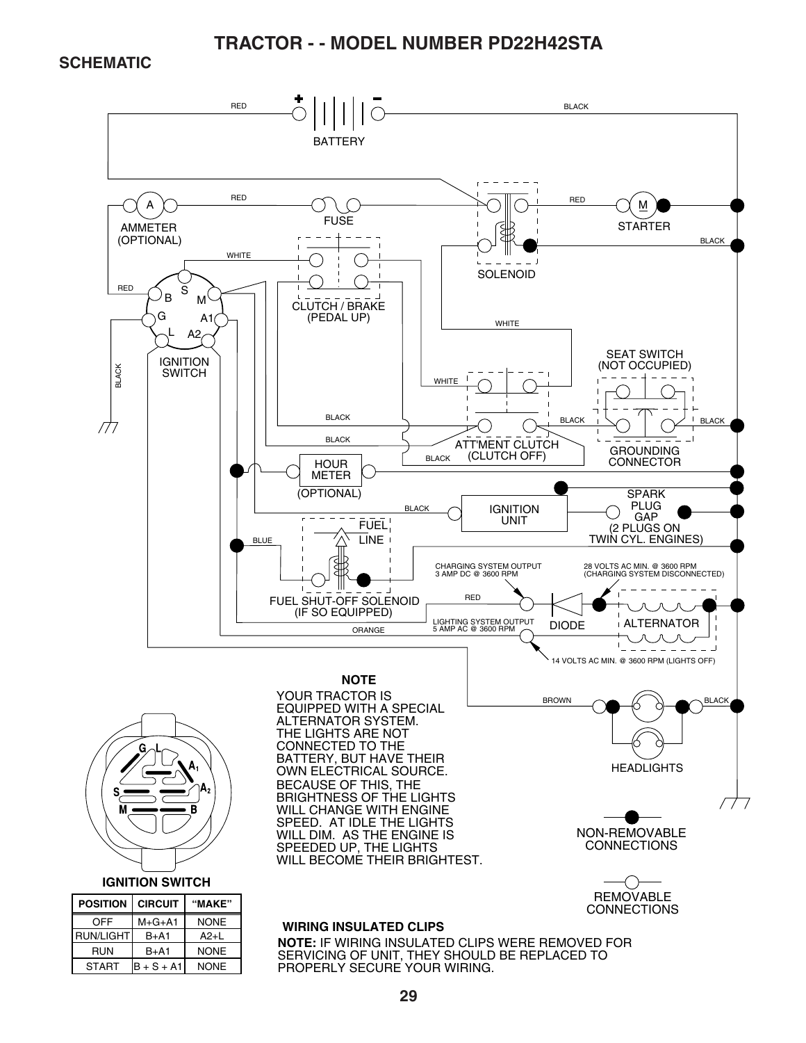#### **SCHEMATIC**

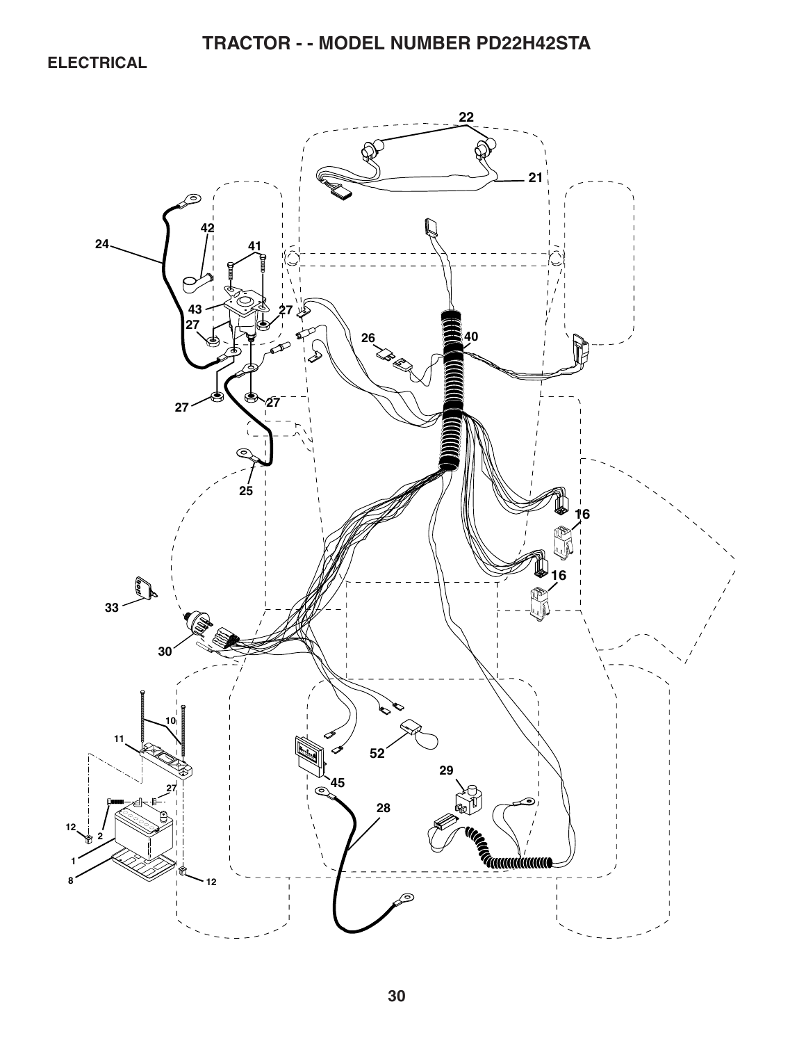**ELECTRICAL** 

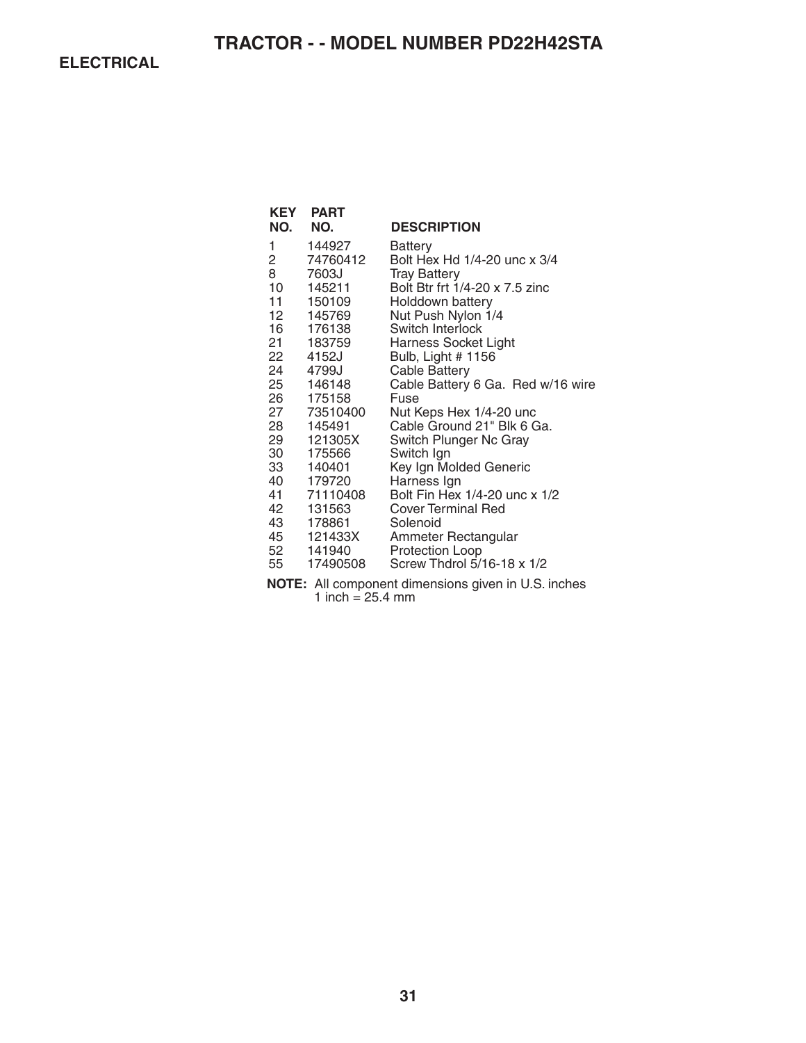**ELECTRICAL** 

| KEY<br>NO.                                                                                                  | <b>PART</b><br>NO.                                                                                                                                                                                                                                                    | <b>DESCRIPTION</b>                                                                                                                                                                                                                                                                                                                                                                                                                                                                                                                                                            |
|-------------------------------------------------------------------------------------------------------------|-----------------------------------------------------------------------------------------------------------------------------------------------------------------------------------------------------------------------------------------------------------------------|-------------------------------------------------------------------------------------------------------------------------------------------------------------------------------------------------------------------------------------------------------------------------------------------------------------------------------------------------------------------------------------------------------------------------------------------------------------------------------------------------------------------------------------------------------------------------------|
| 1<br>2<br>8<br>10<br>$11 -$<br>12<br>16<br>21<br>22<br>25<br>28<br>29<br>30<br>33 —<br>41<br>42<br>43<br>55 | 144927<br>74760412<br>7603J<br>145211<br>150109<br>145769<br>176138<br>183759<br>4152J<br>24 4799J<br>146148<br>26 175158<br>27 73510400<br>145491<br>121305X<br>175566<br>140401<br>40 179720<br>71110408<br>131563<br>178861<br>45 121433X<br>52 141940<br>17490508 | Battery<br>Bolt Hex Hd 1/4-20 unc x 3/4<br><b>Tray Battery</b><br>Bolt Btr frt 1/4-20 x 7.5 zinc<br>Holddown battery<br>Nut Push Nylon 1/4<br>Switch Interlock<br>Harness Socket Light<br>Bulb, Light # 1156<br><b>Cable Battery</b><br>Cable Battery 6 Ga. Red w/16 wire<br>Fuse<br>Nut Keps Hex 1/4-20 unc<br>Cable Ground 21" Blk 6 Ga.<br>Switch Plunger Nc Gray<br>Switch Ign<br>Key Ign Molded Generic<br>Harness Ign<br>Bolt Fin Hex 1/4-20 unc x 1/2<br><b>Cover Terminal Red</b><br>Solenoid<br>Ammeter Rectangular<br>Protection Loop<br>Screw Thdrol 5/16-18 x 1/2 |
|                                                                                                             |                                                                                                                                                                                                                                                                       |                                                                                                                                                                                                                                                                                                                                                                                                                                                                                                                                                                               |

**NOTE:** All component dimensions given in U.S. inches 1 inch = 25.4 mm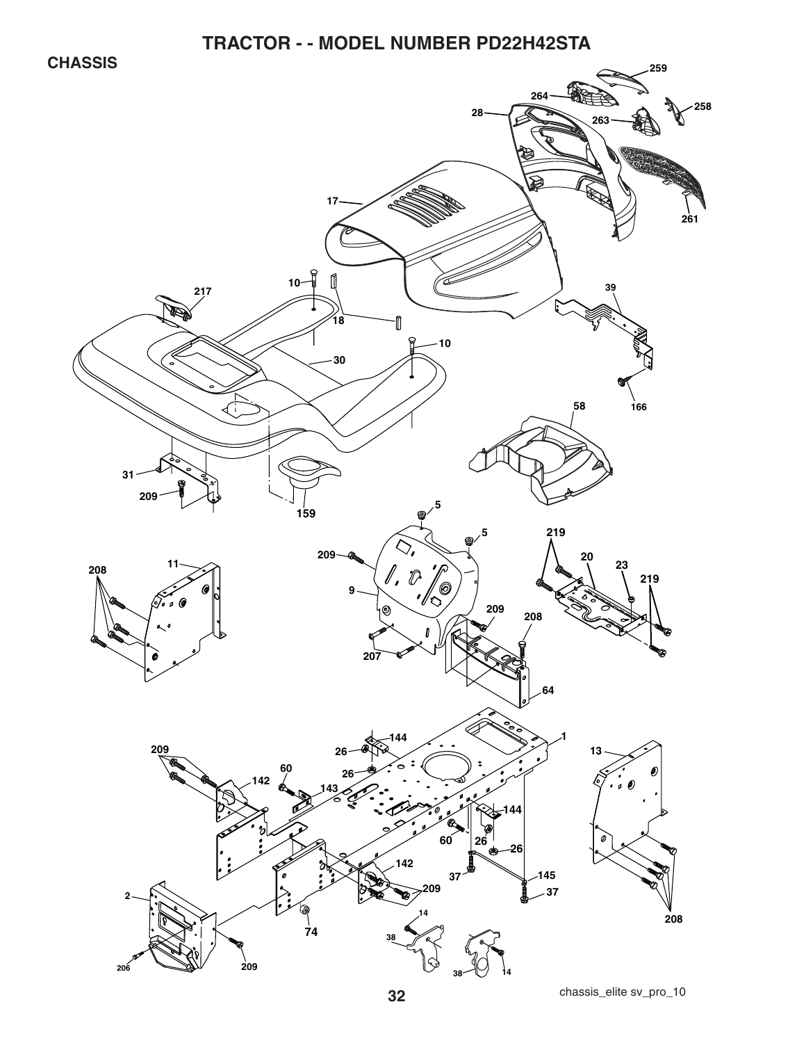**CHASSIS** 

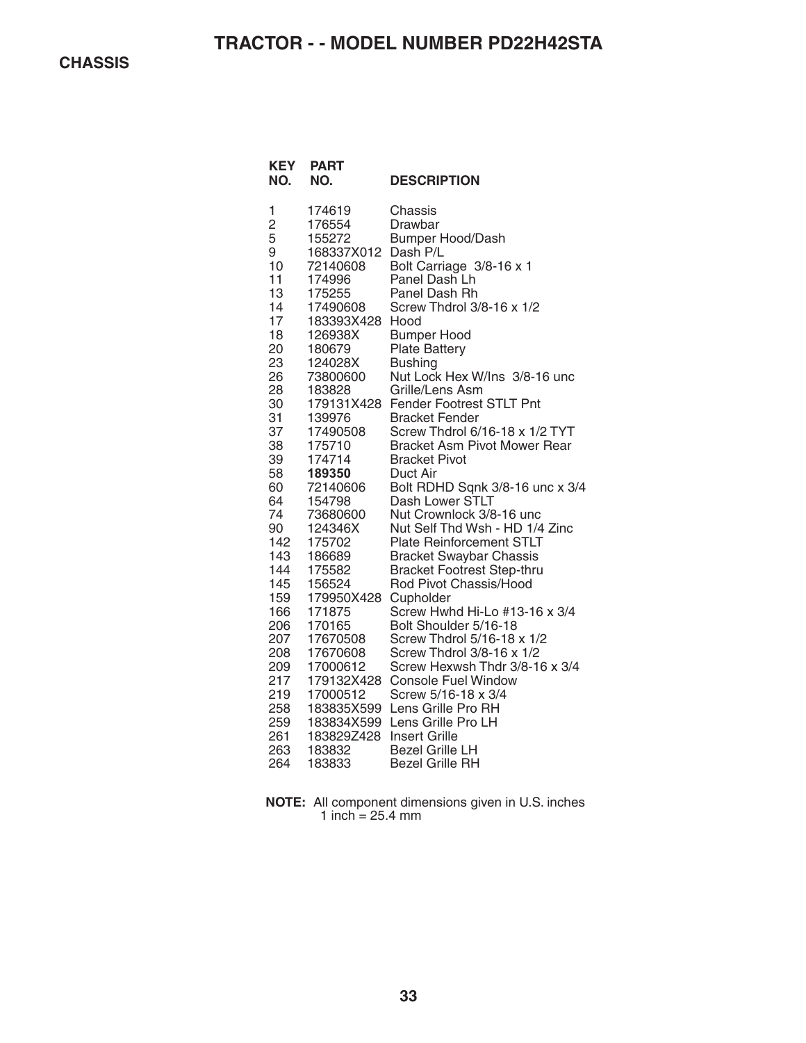**CHASSIS** 

| <b>KEY</b><br>NO. | <b>PART</b><br>NO. | <b>DESCRIPTION</b>                  |
|-------------------|--------------------|-------------------------------------|
| 1                 | 174619             | Chassis                             |
| $\overline{c}$    | 176554             | Drawbar                             |
| 5                 | 155272             | <b>Bumper Hood/Dash</b>             |
| 9                 | 168337X012         | Dash P/L                            |
| 10                | 72140608           | Bolt Carriage 3/8-16 x 1            |
| 11                | 174996             | Panel Dash Lh                       |
| 13                | 175255             | Panel Dash Rh                       |
| 14                | 17490608           | Screw Thdrol 3/8-16 x 1/2           |
| 17                | 183393X428         | Hood                                |
| 18                | 126938X            | <b>Bumper Hood</b>                  |
| 20                | 180679             | <b>Plate Battery</b>                |
| 23                | 124028X            | <b>Bushing</b>                      |
| 26                | 73800600           | Nut Lock Hex W/Ins 3/8-16 unc       |
| 28                | 183828             | Grille/Lens Asm                     |
| 30                | 179131X428         | Fender Footrest STLT Pnt            |
| 31                | 139976             | <b>Bracket Fender</b>               |
| 37                | 17490508           | Screw Thdrol 6/16-18 x 1/2 TYT      |
| 38                | 175710             | <b>Bracket Asm Pivot Mower Rear</b> |
| 39                | 174714             | <b>Bracket Pivot</b>                |
| 58                | 189350             | Duct Air                            |
| 60                | 72140606           | Bolt RDHD Sqnk 3/8-16 unc x 3/4     |
| 64                | 154798             | Dash Lower STLT                     |
| 74                | 73680600           | Nut Crownlock 3/8-16 unc            |
| 90                | 124346X            | Nut Self Thd Wsh - HD 1/4 Zinc      |
| 142               | 175702             | <b>Plate Reinforcement STLT</b>     |
| 143               | 186689             | <b>Bracket Swaybar Chassis</b>      |
| 144               | 175582             | <b>Bracket Footrest Step-thru</b>   |
| 145               | 156524             | Rod Pivot Chassis/Hood              |
| 159               | 179950X428         | Cupholder                           |
| 166               | 171875             | Screw Hwhd Hi-Lo #13-16 x 3/4       |
| 206               | 170165             | Bolt Shoulder 5/16-18               |
| 207               | 17670508           | Screw Thdrol 5/16-18 x 1/2          |
| 208               | 17670608           | Screw Thdrol 3/8-16 x 1/2           |
| 209               | 17000612           | Screw Hexwsh Thdr 3/8-16 x 3/4      |
| 217               | 179132X428         | <b>Console Fuel Window</b>          |
| 219               | 17000512           | Screw 5/16-18 x 3/4                 |
| 258               | 183835X599         | Lens Grille Pro RH                  |
| 259               | 183834X599         | Lens Grille Pro LH                  |
| 261               | 183829Z428         | <b>Insert Grille</b>                |
| 263               | 183832             | <b>Bezel Grille LH</b>              |
| 264               | 183833             | <b>Bezel Grille RH</b>              |

**NOTE:** All component dimensions given in U.S. inches 1 inch  $= 25.4$  mm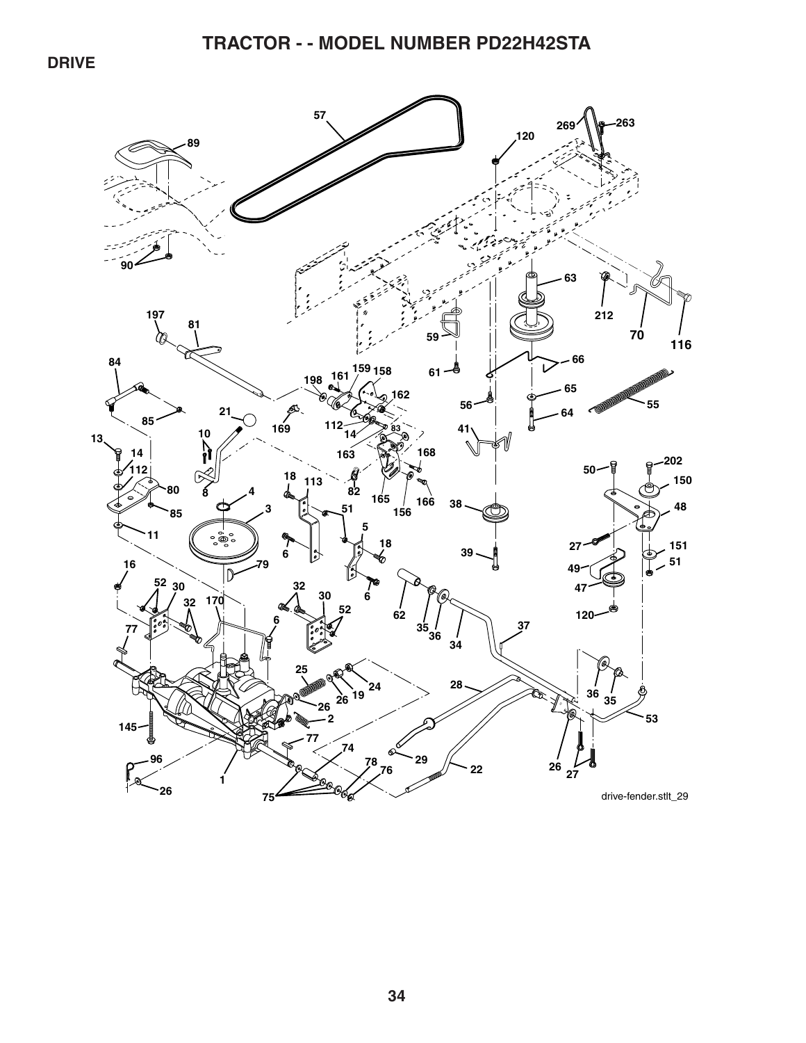**DRIVE** 

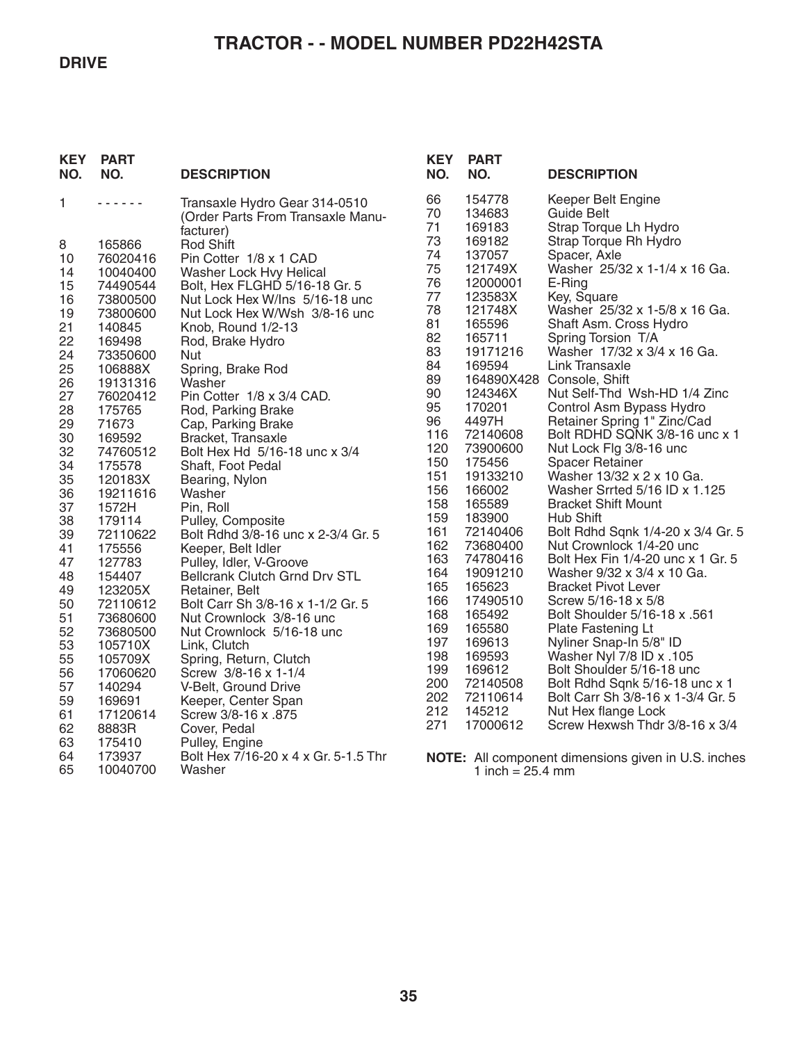#### **DRIVE**

# **TRACTOR - - MODEL NUMBER PD22H42STA**

| <b>KEY</b><br>NO. | <b>PART</b><br>NO.  | <b>DESCRIPTION</b>                                                 | <b>KEY</b><br>NO. | <b>PART</b><br>NO.         | <b>DESCRIPTION</b>                                               |
|-------------------|---------------------|--------------------------------------------------------------------|-------------------|----------------------------|------------------------------------------------------------------|
| 1                 | .                   | Transaxle Hydro Gear 314-0510<br>(Order Parts From Transaxle Manu- | 66<br>70<br>71    | 154778<br>134683<br>169183 | Keeper Belt Engine<br><b>Guide Belt</b><br>Strap Torque Lh Hydro |
| 8                 | 165866              | facturer)<br>Rod Shift                                             | 73                | 169182                     | Strap Torque Rh Hydro                                            |
| 10                | 76020416            | Pin Cotter 1/8 x 1 CAD                                             | 74                | 137057                     | Spacer, Axle                                                     |
| 14                | 10040400            | Washer Lock Hvy Helical                                            | 75                | 121749X                    | Washer 25/32 x 1-1/4 x 16 Ga.                                    |
| 15                | 74490544            | Bolt, Hex FLGHD 5/16-18 Gr. 5                                      | 76                | 12000001                   | E-Ring                                                           |
| 16                | 73800500            | Nut Lock Hex W/Ins 5/16-18 unc                                     | 77                | 123583X                    | Key, Square                                                      |
| 19                | 73800600            | Nut Lock Hex W/Wsh 3/8-16 unc                                      | 78<br>81          | 121748X<br>165596          | Washer 25/32 x 1-5/8 x 16 Ga.<br>Shaft Asm. Cross Hydro          |
| 21<br>22          | 140845              | Knob, Round 1/2-13                                                 | 82                | 165711                     | Spring Torsion T/A                                               |
| 24                | 169498<br>73350600  | Rod, Brake Hydro<br><b>Nut</b>                                     | 83                | 19171216                   | Washer 17/32 x 3/4 x 16 Ga.                                      |
| 25                | 106888X             | Spring, Brake Rod                                                  | 84                | 169594                     | Link Transaxle                                                   |
| 26                | 19131316            | Washer                                                             | 89                |                            | 164890X428 Console, Shift                                        |
| 27                | 76020412            | Pin Cotter 1/8 x 3/4 CAD.                                          | 90                | 124346X                    | Nut Self-Thd Wsh-HD 1/4 Zinc                                     |
| 28                | 175765              | Rod, Parking Brake                                                 | 95                | 170201                     | Control Asm Bypass Hydro                                         |
| 29                | 71673               | Cap, Parking Brake                                                 | 96<br>116         | 4497H<br>72140608          | Retainer Spring 1" Zinc/Cad<br>Bolt RDHD SQNK 3/8-16 unc x 1     |
| 30<br>32          | 169592<br>74760512  | Bracket, Transaxle<br>Bolt Hex Hd 5/16-18 unc x 3/4                | 120               | 73900600                   | Nut Lock Flg 3/8-16 unc                                          |
| 34                | 175578              | Shaft, Foot Pedal                                                  | 150               | 175456                     | <b>Spacer Retainer</b>                                           |
| 35                | 120183X             | Bearing, Nylon                                                     | 151               | 19133210                   | Washer 13/32 x 2 x 10 Ga.                                        |
| 36                | 19211616            | Washer                                                             | 156               | 166002                     | Washer Srrted 5/16 ID x 1.125                                    |
| 37                | 1572H               | Pin, Roll                                                          | 158               | 165589                     | <b>Bracket Shift Mount</b>                                       |
| 38                | 179114              | Pulley, Composite                                                  | 159<br>161        | 183900<br>72140406         | Hub Shift<br>Bolt Rdhd Sqnk 1/4-20 x 3/4 Gr. 5                   |
| 39<br>41          | 72110622            | Bolt Rdhd 3/8-16 unc x 2-3/4 Gr. 5                                 | 162               | 73680400                   | Nut Crownlock 1/4-20 unc                                         |
| 47                | 175556<br>127783    | Keeper, Belt Idler<br>Pulley, Idler, V-Groove                      | 163               | 74780416                   | Bolt Hex Fin 1/4-20 unc x 1 Gr. 5                                |
| 48                | 154407              | Bellcrank Clutch Grnd Drv STL                                      | 164               | 19091210                   | Washer 9/32 x 3/4 x 10 Ga.                                       |
| 49                | 123205X             | Retainer, Belt                                                     | 165               | 165623                     | <b>Bracket Pivot Lever</b>                                       |
| 50                | 72110612            | Bolt Carr Sh 3/8-16 x 1-1/2 Gr. 5                                  | 166               | 17490510                   | Screw 5/16-18 x 5/8                                              |
| 51                | 73680600            | Nut Crownlock 3/8-16 unc                                           | 168<br>169        | 165492<br>165580           | Bolt Shoulder 5/16-18 x .561<br>Plate Fastening Lt               |
| 52<br>53          | 73680500<br>105710X | Nut Crownlock 5/16-18 unc<br>Link, Clutch                          | 197               | 169613                     | Nyliner Snap-In 5/8" ID                                          |
| 55                | 105709X             | Spring, Return, Clutch                                             | 198               | 169593                     | Washer Nyl 7/8 ID x .105                                         |
| 56                | 17060620            | Screw 3/8-16 x 1-1/4                                               | 199               | 169612                     | Bolt Shoulder 5/16-18 unc                                        |
| 57                | 140294              | V-Belt, Ground Drive                                               | 200               | 72140508                   | Bolt Rdhd Sqnk 5/16-18 unc x 1                                   |
| 59                | 169691              | Keeper, Center Span                                                | 202               | 72110614                   | Bolt Carr Sh 3/8-16 x 1-3/4 Gr. 5                                |
| 61                | 17120614            | Screw 3/8-16 x .875                                                | 212<br>271        | 145212                     | Nut Hex flange Lock                                              |
| 62                | 8883R               | Cover, Pedal                                                       |                   | 17000612                   | Screw Hexwsh Thdr 3/8-16 x 3/4                                   |
| 63<br>64          | 175410<br>173937    | Pulley, Engine<br>Bolt Hex 7/16-20 x 4 x Gr. 5-1.5 Thr             |                   |                            |                                                                  |
| 65                | 10040700            | Washer                                                             |                   | 1 inch = $25.4$ mm         | NOTE: All component dimensions given in U.S. inches              |
|                   |                     |                                                                    |                   |                            |                                                                  |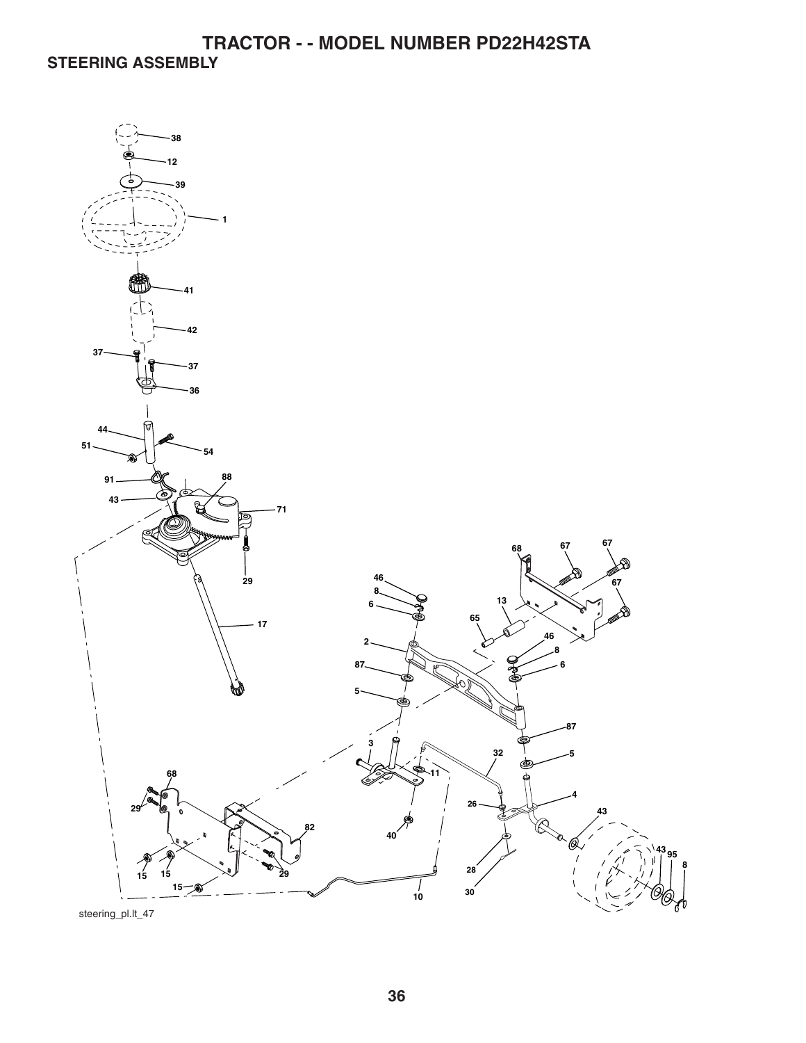**TRACTOR - - MODEL NUMBER PD22H42STA STEERING ASSEMBLY** 

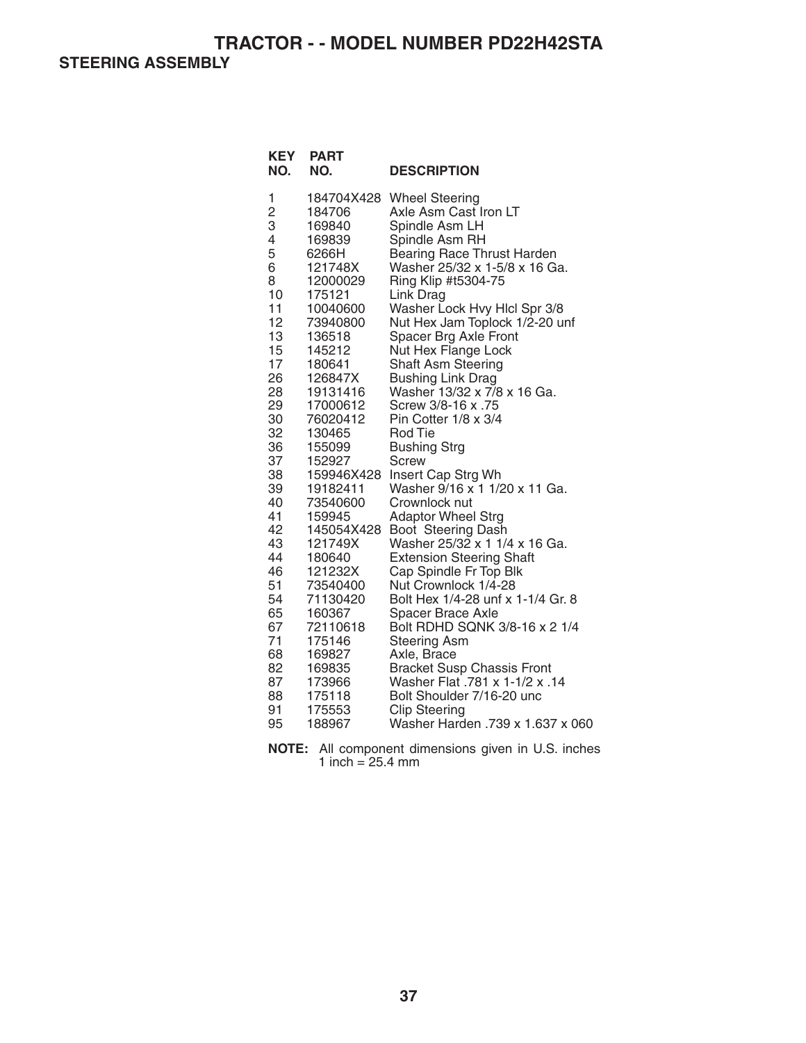**STEERING ASSEMBLY** 

| <b>KEY</b><br>NO.                                                                                                                                                                                                                            | <b>PART</b><br>NO.                                                                                                                                                                                                                                                                                                                                                                                                        | <b>DESCRIPTION</b>                                                                                                                                                                                                                                                                                                                                                                                                                                                                                                                                                                                                                                                                                                                                                                                                                                                                                                                                                                                                                             |
|----------------------------------------------------------------------------------------------------------------------------------------------------------------------------------------------------------------------------------------------|---------------------------------------------------------------------------------------------------------------------------------------------------------------------------------------------------------------------------------------------------------------------------------------------------------------------------------------------------------------------------------------------------------------------------|------------------------------------------------------------------------------------------------------------------------------------------------------------------------------------------------------------------------------------------------------------------------------------------------------------------------------------------------------------------------------------------------------------------------------------------------------------------------------------------------------------------------------------------------------------------------------------------------------------------------------------------------------------------------------------------------------------------------------------------------------------------------------------------------------------------------------------------------------------------------------------------------------------------------------------------------------------------------------------------------------------------------------------------------|
| 1<br>$\overline{c}$<br>3<br>4<br>5<br>6<br>8<br>10<br>11<br>12<br>13<br>15<br>17<br>26<br>28<br>29<br>30<br>32<br>36<br>37<br>38<br>39<br>40<br>41<br>42<br>43<br>44<br>46<br>51<br>54<br>65<br>67<br>71<br>68<br>82<br>87<br>88<br>91<br>95 | 184706<br>169840<br>169839<br>6266H<br>121748X<br>12000029<br>175121<br>10040600<br>73940800<br>136518<br>145212<br>180641<br>126847X<br>19131416<br>17000612<br>76020412<br>130465<br>155099<br>152927<br>159946X428<br>19182411<br>73540600<br>159945<br>145054X428<br>121749X<br>180640<br>121232X<br>73540400<br>71130420<br>160367<br>72110618<br>175146<br>169827<br>169835<br>173966<br>175118<br>175553<br>188967 | 184704X428 Wheel Steering<br>Axle Asm Cast Iron LT<br>Spindle Asm LH<br>Spindle Asm RH<br>Bearing Race Thrust Harden<br>Washer 25/32 x 1-5/8 x 16 Ga.<br>Ring Klip #t5304-75<br>Link Drag<br>Washer Lock Hvy Hlcl Spr 3/8<br>Nut Hex Jam Toplock 1/2-20 unf<br>Spacer Brg Axle Front<br>Nut Hex Flange Lock<br>Shaft Asm Steering<br><b>Bushing Link Drag</b><br>Washer 13/32 x 7/8 x 16 Ga.<br>Screw 3/8-16 x .75<br>Pin Cotter 1/8 x 3/4<br><b>Rod Tie</b><br><b>Bushing Strg</b><br>Screw<br>Insert Cap Strg Wh<br>Washer 9/16 x 1 1/20 x 11 Ga.<br>Crownlock nut<br><b>Adaptor Wheel Strg</b><br>Boot Steering Dash<br>Washer 25/32 x 1 1/4 x 16 Ga.<br><b>Extension Steering Shaft</b><br>Cap Spindle Fr Top Blk<br>Nut Crownlock 1/4-28<br>Bolt Hex 1/4-28 unf x 1-1/4 Gr. 8<br>Spacer Brace Axle<br>Bolt RDHD SQNK 3/8-16 x 2 1/4<br><b>Steering Asm</b><br>Axle, Brace<br><b>Bracket Susp Chassis Front</b><br>Washer Flat .781 x 1-1/2 x .14<br>Bolt Shoulder 7/16-20 unc<br><b>Clip Steering</b><br>Washer Harden .739 x 1.637 x 060 |

**NOTE:** All component dimensions given in U.S. inches 1 inch  $= 25.4$  mm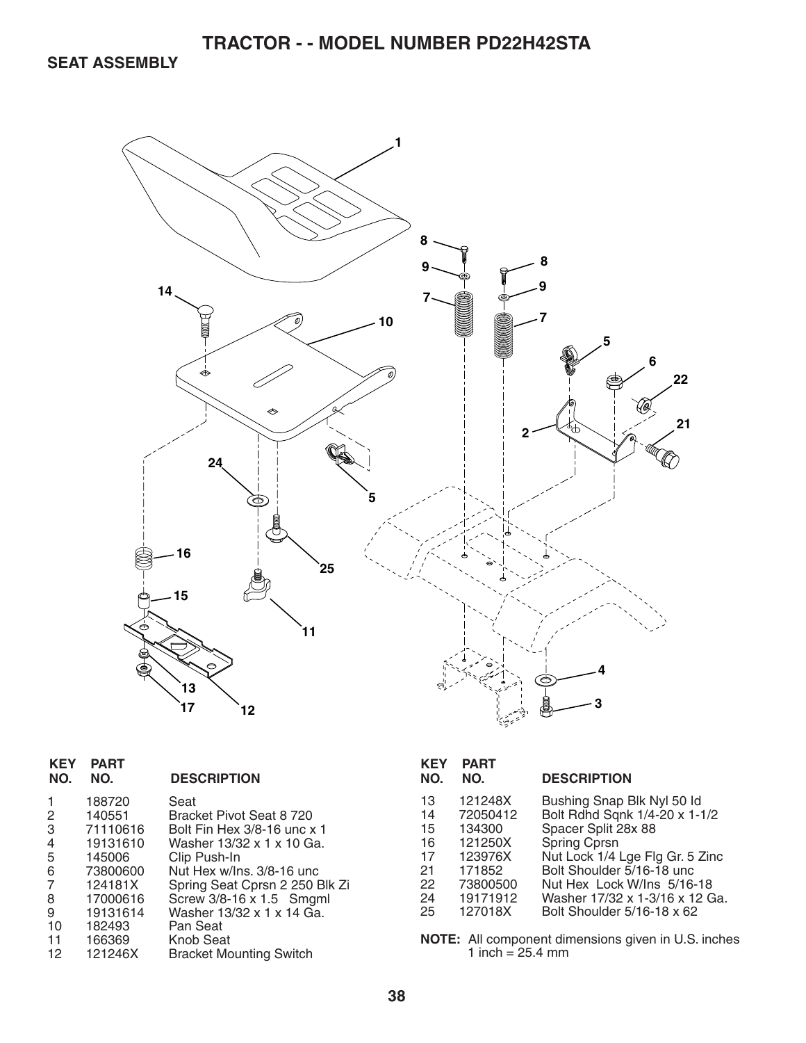**SEAT ASSEMBLY** 



| <b>KEY</b><br>NO.                                           | <b>PART</b><br>NO.                                                                                                               | <b>DESCRIPTION</b>                                                                                                                                                                                                                                                                              |
|-------------------------------------------------------------|----------------------------------------------------------------------------------------------------------------------------------|-------------------------------------------------------------------------------------------------------------------------------------------------------------------------------------------------------------------------------------------------------------------------------------------------|
| 1<br>2<br>3<br>4<br>5<br>6<br>7<br>8<br>9<br>10<br>11<br>12 | 188720<br>140551<br>71110616<br>19131610<br>145006<br>73800600<br>124181X<br>17000616<br>19131614<br>182493<br>166369<br>121246X | Seat<br>Bracket Pivot Seat 8 720<br>Bolt Fin Hex 3/8-16 unc x 1<br>Washer 13/32 x 1 x 10 Ga.<br>Clip Push-In<br>Nut Hex w/Ins. 3/8-16 unc<br>Spring Seat Cprsn 2 250 Blk Zi<br>Screw 3/8-16 x 1.5 Smgml<br>Washer 13/32 x 1 x 14 Ga.<br>Pan Seat<br>Knob Seat<br><b>Bracket Mounting Switch</b> |
|                                                             |                                                                                                                                  |                                                                                                                                                                                                                                                                                                 |

| KEY<br>NO.                                   | <b>PART</b><br>NO.                                                                    | <b>DESCRIPTION</b>                                                                                                                                                                                                                         |
|----------------------------------------------|---------------------------------------------------------------------------------------|--------------------------------------------------------------------------------------------------------------------------------------------------------------------------------------------------------------------------------------------|
| 13<br>14<br>15<br>16<br>17<br>21<br>22<br>24 | 121248X<br>72050412<br>134300<br>121250X<br>123976X<br>171852<br>73800500<br>19171912 | Bushing Snap Blk Nyl 50 ld<br>Bolt Rdhd Sqnk 1/4-20 x 1-1/2<br>Spacer Split 28x 88<br><b>Spring Cprsn</b><br>Nut Lock 1/4 Lge Flg Gr. 5 Zinc<br>Bolt Shoulder 5/16-18 unc.<br>Nut Hex Lock W/Ins 5/16-18<br>Washer 17/32 x 1-3/16 x 12 Ga. |
| 25                                           | 127018X                                                                               | Bolt Shoulder 5/16-18 x 62                                                                                                                                                                                                                 |

**NOTE:** All component dimensions given in U.S. inches 1 inch = 25.4 mm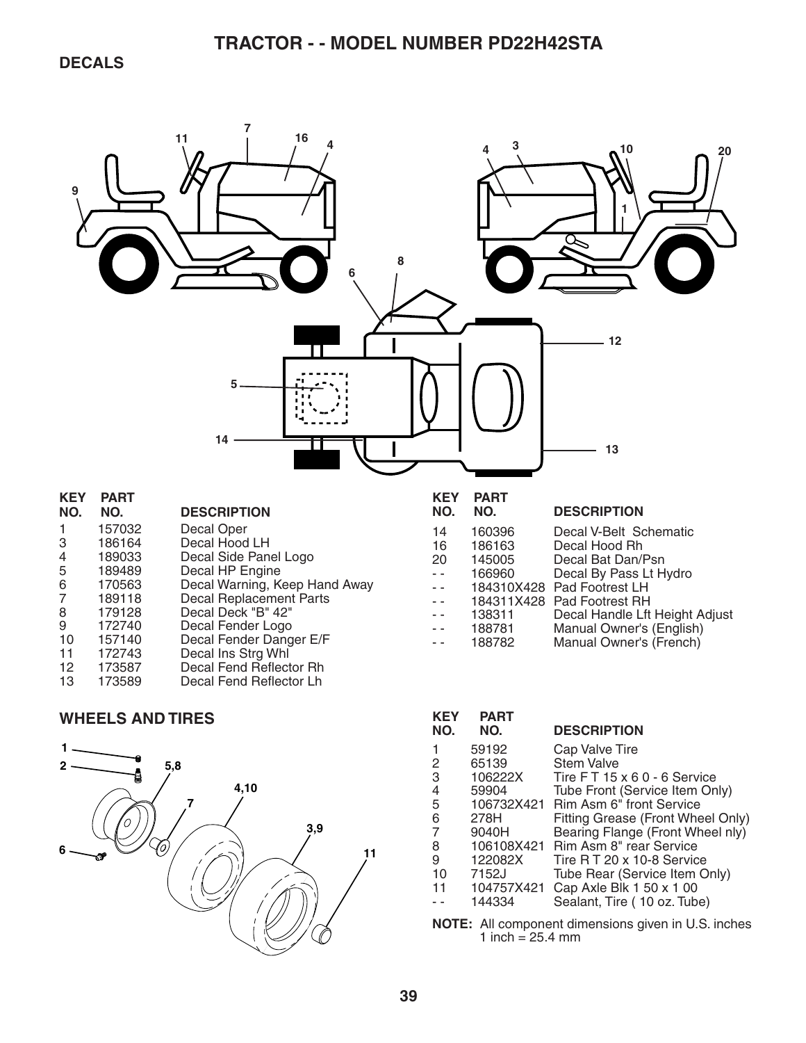

#### **WHEELS AND TIRES**



| <b>KEY</b><br>NO.                                              | <b>PART</b><br>NO. | <b>DESCRIPTION</b>                |  |
|----------------------------------------------------------------|--------------------|-----------------------------------|--|
| 1                                                              | 59192              | Cap Valve Tire                    |  |
| 2                                                              | 65139              | <b>Stem Valve</b>                 |  |
| 3                                                              | 106222X            | Tire FT 15 x 6 0 - 6 Service      |  |
| 4                                                              | 59904              | Tube Front (Service Item Only)    |  |
| 5                                                              | 106732X421         | <b>Rim Asm 6" front Service</b>   |  |
| 6                                                              | 278H               | Fitting Grease (Front Wheel Only) |  |
| 7                                                              | 9040H              | Bearing Flange (Front Wheel nly)  |  |
| 8                                                              | 106108X421         | Rim Asm 8" rear Service           |  |
| 9                                                              | 122082X            | Tire R T 20 x 10-8 Service        |  |
| 10                                                             | 7152J              | Tube Rear (Service Item Only)     |  |
| 11                                                             | 104757X421         | Cap Axle Blk 1 50 x 1 00          |  |
|                                                                | 144334             | Sealant, Tire (10 oz. Tube)       |  |
| $\mathsf{E}_1$ , All companent dimensions given in LLC, inches |                    |                                   |  |

**NOTE:** All component dimensions given in U.S. inches 1 inch  $= 25.4$  mm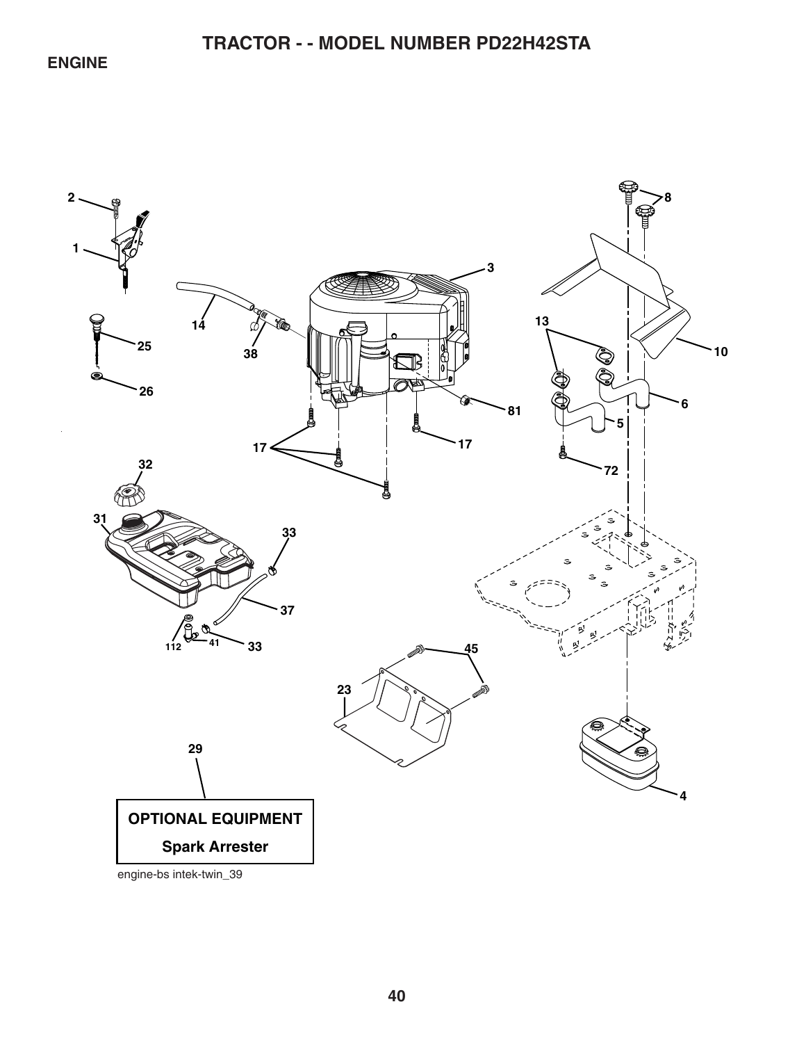### **ENGINE**

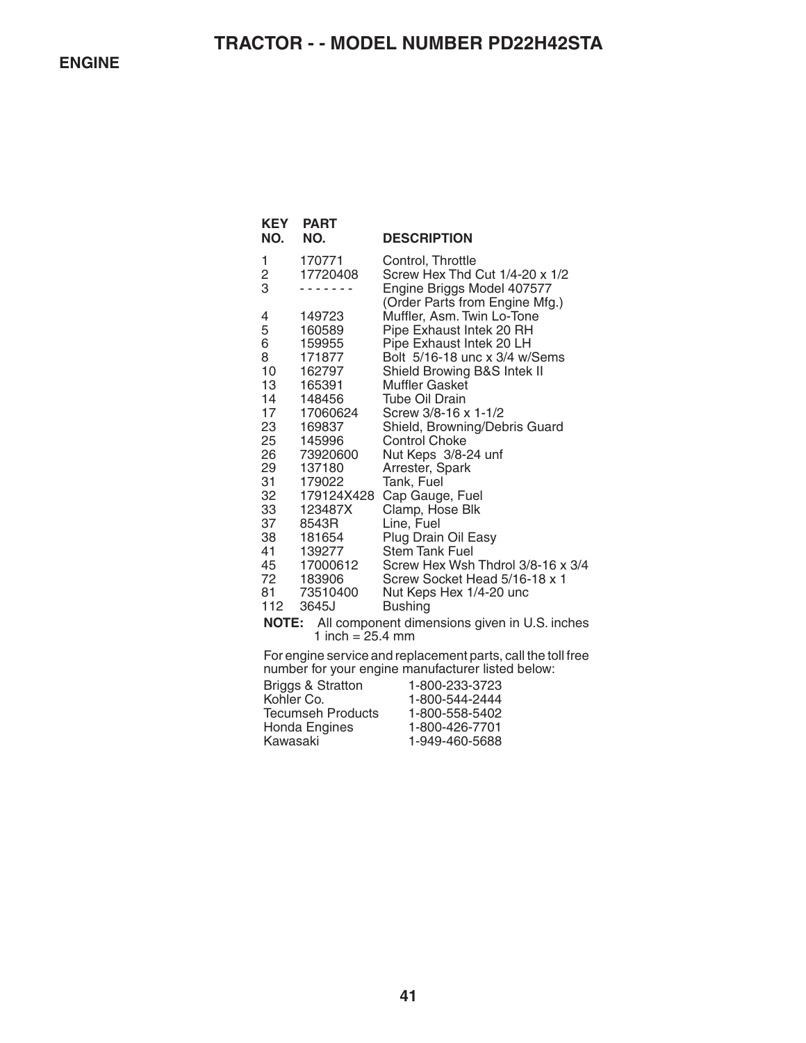| KEY<br>NO.    | <b>PART</b><br>NO.                                           | <b>DESCRIPTION</b>                                           |  |  |
|---------------|--------------------------------------------------------------|--------------------------------------------------------------|--|--|
| 1             | 170771                                                       | Control, Throttle                                            |  |  |
| $\frac{2}{3}$ | 17720408                                                     | Screw Hex Thd Cut 1/4-20 x 1/2<br>Engine Briggs Model 407577 |  |  |
|               |                                                              | (Order Parts from Engine Mfg.)                               |  |  |
| 4             | 149723                                                       | Muffler, Asm. Twin Lo-Tone                                   |  |  |
| 5             | 160589                                                       | Pipe Exhaust Intek 20 RH                                     |  |  |
| 6             | 159955                                                       | Pipe Exhaust Intek 20 LH                                     |  |  |
| 8             | 171877                                                       | Bolt 5/16-18 unc x 3/4 w/Sems                                |  |  |
| 10            | 162797                                                       | Shield Browing B&S Intek II                                  |  |  |
| 13<br>14      | 165391<br>148456                                             | Muffler Gasket<br>Tube Oil Drain                             |  |  |
| 17            | 17060624                                                     | Screw 3/8-16 x 1-1/2                                         |  |  |
| 23            | 169837                                                       | Shield, Browning/Debris Guard                                |  |  |
| 25            | 145996                                                       | <b>Control Choke</b>                                         |  |  |
| 26            | 73920600                                                     | Nut Keps 3/8-24 unf                                          |  |  |
| 29            | 137180                                                       | Arrester, Spark                                              |  |  |
| 31            | 179022                                                       | Tank, Fuel                                                   |  |  |
| 32            | 179124X428                                                   | Cap Gauge, Fuel                                              |  |  |
| 33            | 123487X                                                      | Clamp, Hose Blk                                              |  |  |
| 37            | 8543R                                                        | Line, Fuel                                                   |  |  |
| 38            | 181654                                                       | Plug Drain Oil Easy                                          |  |  |
| 41<br>45      | 139277<br>17000612                                           | <b>Stem Tank Fuel</b><br>Screw Hex Wsh Thdrol 3/8-16 x 3/4   |  |  |
| 72            | 183906                                                       | Screw Socket Head 5/16-18 x 1                                |  |  |
| 81            | 73510400                                                     | Nut Keps Hex 1/4-20 unc                                      |  |  |
| 112           | 3645J                                                        | <b>Bushing</b>                                               |  |  |
|               |                                                              | NOTE: All component dimensions given in U.S. inches          |  |  |
|               | 1 inch = $25.4$ mm                                           |                                                              |  |  |
|               | For engine service and replacement parts, call the toll free |                                                              |  |  |

For engine service and replacement parts, call the toll free number for your engine manufacturer listed below:

| <b>Briggs &amp; Stratton</b> | 1-800-233-3723 |
|------------------------------|----------------|
| Kohler Co.                   | 1-800-544-2444 |
| <b>Tecumseh Products</b>     | 1-800-558-5402 |
| Honda Engines                | 1-800-426-7701 |
| Kawasaki                     | 1-949-460-5688 |
|                              |                |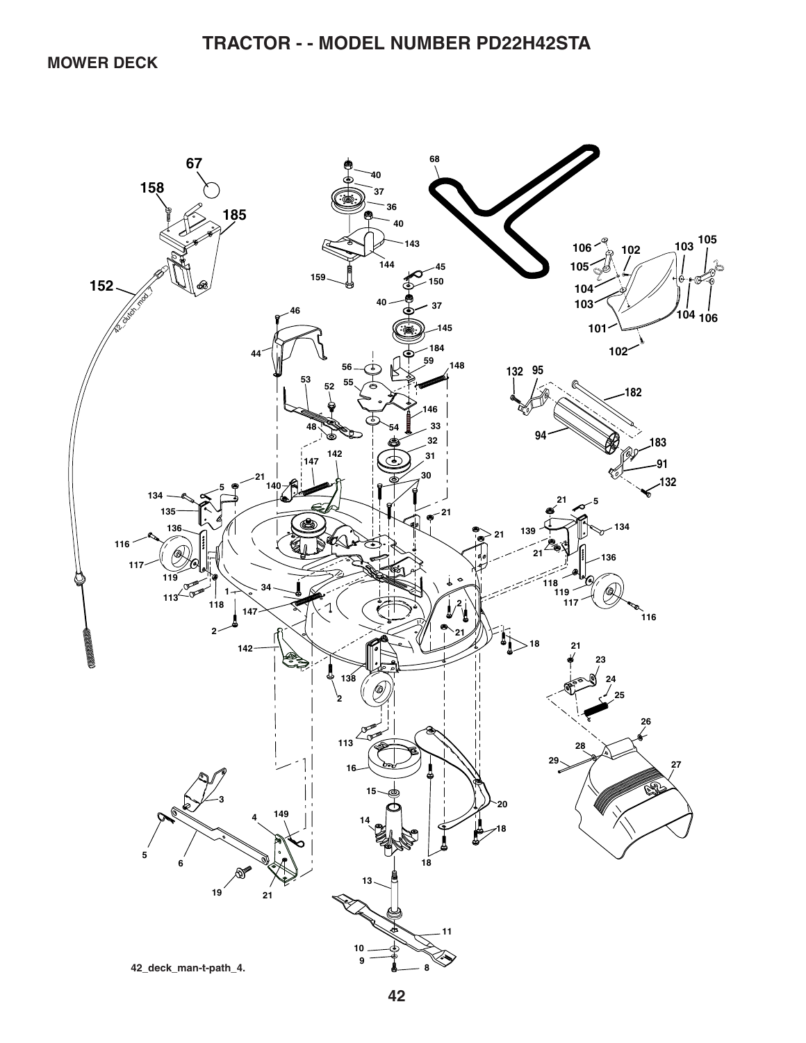**MOWER DECK** 

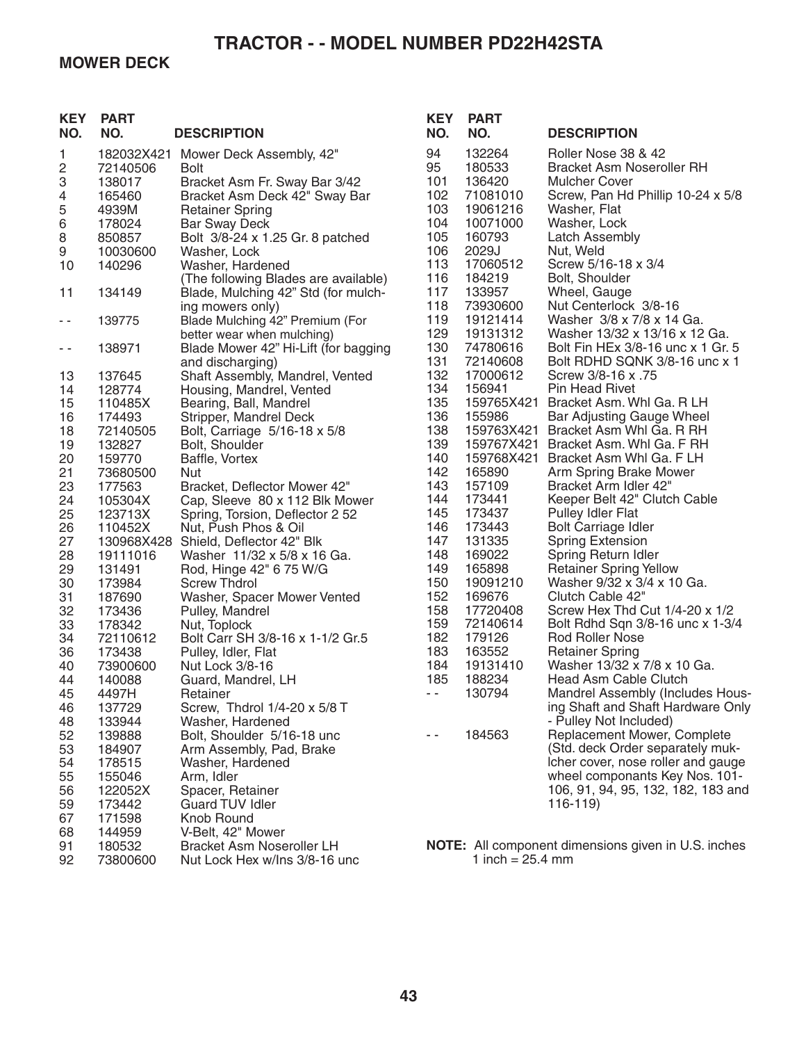### **MOWER DECK**

| <b>KEY</b><br>NO. | <b>PART</b><br>NO.                         | <b>DESCRIPTION</b>                                                                                        | <b>KEY</b><br>NO.      | <b>PART</b><br>NO.                     | <b>DESCRIPTION</b>                                                                                            |
|-------------------|--------------------------------------------|-----------------------------------------------------------------------------------------------------------|------------------------|----------------------------------------|---------------------------------------------------------------------------------------------------------------|
| 1<br>2<br>3<br>4  | 182032X421<br>72140506<br>138017<br>165460 | Mower Deck Assembly, 42"<br><b>Bolt</b><br>Bracket Asm Fr. Sway Bar 3/42<br>Bracket Asm Deck 42" Sway Bar | 94<br>95<br>101<br>102 | 132264<br>180533<br>136420<br>71081010 | Roller Nose 38 & 42<br><b>Bracket Asm Noseroller RH</b><br>Mulcher Cover<br>Screw, Pan Hd Phillip 10-24 x 5/8 |
| 5                 | 4939M                                      | <b>Retainer Spring</b>                                                                                    | 103<br>104             | 19061216<br>10071000                   | Washer, Flat<br>Washer, Lock                                                                                  |
| $\,6\,$<br>8      | 178024<br>850857                           | <b>Bar Sway Deck</b><br>Bolt 3/8-24 x 1.25 Gr. 8 patched                                                  | 105                    | 160793                                 | <b>Latch Assembly</b>                                                                                         |
| 9                 | 10030600                                   | Washer, Lock                                                                                              | 106                    | 2029J                                  | Nut, Weld                                                                                                     |
| 10                | 140296                                     | Washer, Hardened                                                                                          | 113                    | 17060512                               | Screw 5/16-18 x 3/4                                                                                           |
|                   |                                            | (The following Blades are available)                                                                      | 116                    | 184219                                 | Bolt, Shoulder                                                                                                |
| 11                | 134149                                     | Blade, Mulching 42" Std (for mulch-                                                                       | 117                    | 133957                                 | Wheel, Gauge                                                                                                  |
|                   |                                            | ing mowers only)                                                                                          | 118                    | 73930600                               | Nut Centerlock 3/8-16                                                                                         |
| - -               | 139775                                     | Blade Mulching 42" Premium (For                                                                           | 119                    | 19121414                               | Washer 3/8 x 7/8 x 14 Ga.                                                                                     |
|                   |                                            | better wear when mulching)                                                                                | 129                    | 19131312                               | Washer 13/32 x 13/16 x 12 Ga.                                                                                 |
| - -               | 138971                                     | Blade Mower 42" Hi-Lift (for bagging                                                                      | 130                    | 74780616                               | Bolt Fin HEx 3/8-16 unc x 1 Gr. 5                                                                             |
|                   |                                            | and discharging)                                                                                          | 131                    | 72140608                               | Bolt RDHD SQNK 3/8-16 unc x 1                                                                                 |
| 13<br>14          | 137645<br>128774                           | Shaft Assembly, Mandrel, Vented                                                                           | 132<br>134             | 17000612<br>156941                     | Screw 3/8-16 x .75<br><b>Pin Head Rivet</b>                                                                   |
| 15                | 110485X                                    | Housing, Mandrel, Vented<br>Bearing, Ball, Mandrel                                                        | 135                    | 159765X421                             | Bracket Asm. Whi Ga. R LH                                                                                     |
| 16                | 174493                                     | Stripper, Mandrel Deck                                                                                    | 136                    | 155986                                 | Bar Adjusting Gauge Wheel                                                                                     |
| 18                | 72140505                                   | Bolt, Carriage 5/16-18 x 5/8                                                                              | 138                    | 159763X421                             | Bracket Asm Whl Ga. R RH                                                                                      |
| 19                | 132827                                     | Bolt, Shoulder                                                                                            | 139                    |                                        | 159767X421 Bracket Asm. Whl Ga. F RH                                                                          |
| 20                | 159770                                     | Baffle, Vortex                                                                                            | 140                    | 159768X421                             | Bracket Asm Whl Ga. F LH                                                                                      |
| 21                | 73680500                                   | <b>Nut</b>                                                                                                | 142                    | 165890                                 | Arm Spring Brake Mower                                                                                        |
| 23                | 177563                                     | Bracket, Deflector Mower 42"                                                                              | 143                    | 157109                                 | Bracket Arm Idler 42"                                                                                         |
| 24                | 105304X                                    | Cap, Sleeve 80 x 112 Blk Mower                                                                            | 144                    | 173441                                 | Keeper Belt 42" Clutch Cable                                                                                  |
| 25                | 123713X                                    | Spring, Torsion, Deflector 2 52                                                                           | 145                    | 173437                                 | <b>Pulley Idler Flat</b>                                                                                      |
| 26<br>27          | 110452X<br>130968X428                      | Nut, Push Phos & Oil<br>Shield, Deflector 42" Blk                                                         | 146<br>147             | 173443<br>131335                       | <b>Bolt Carriage Idler</b><br><b>Spring Extension</b>                                                         |
| 28                | 19111016                                   | Washer 11/32 x 5/8 x 16 Ga.                                                                               | 148                    | 169022                                 | Spring Return Idler                                                                                           |
| 29                | 131491                                     | Rod, Hinge 42" 6 75 W/G                                                                                   | 149                    | 165898                                 | <b>Retainer Spring Yellow</b>                                                                                 |
| 30                | 173984                                     | <b>Screw Thdrol</b>                                                                                       | 150                    | 19091210                               | Washer 9/32 x 3/4 x 10 Ga.                                                                                    |
| 31                | 187690                                     | Washer, Spacer Mower Vented                                                                               | 152                    | 169676                                 | Clutch Cable 42"                                                                                              |
| 32                | 173436                                     | Pulley, Mandrel                                                                                           | 158                    | 17720408                               | Screw Hex Thd Cut 1/4-20 x 1/2                                                                                |
| 33                | 178342                                     | Nut, Toplock                                                                                              | 159                    | 72140614                               | Bolt Rdhd Sqn 3/8-16 unc x 1-3/4                                                                              |
| 34                | 72110612                                   | Bolt Carr SH 3/8-16 x 1-1/2 Gr.5                                                                          | 182                    | 179126                                 | <b>Rod Roller Nose</b>                                                                                        |
| 36                | 173438                                     | Pulley, Idler, Flat                                                                                       | 183                    | 163552                                 | <b>Retainer Spring</b>                                                                                        |
| 40<br>44          | 73900600                                   | Nut Lock 3/8-16                                                                                           | 184<br>185             | 19131410<br>188234                     | Washer 13/32 x 7/8 x 10 Ga.<br>Head Asm Cable Clutch                                                          |
| 45                | 140088<br>4497H                            | Guard, Mandrel, LH<br>Retainer                                                                            | $\sim$ $-$             | 130794                                 | Mandrel Assembly (Includes Hous-                                                                              |
| 46                | 137729                                     | Screw, Thdrol 1/4-20 x 5/8 T                                                                              |                        |                                        | ing Shaft and Shaft Hardware Only                                                                             |
| 48                | 133944                                     | Washer, Hardened                                                                                          |                        |                                        | - Pulley Not Included)                                                                                        |
| 52                | 139888                                     | Bolt, Shoulder 5/16-18 unc                                                                                | - -                    | 184563                                 | Replacement Mower, Complete                                                                                   |
| 53                | 184907                                     | Arm Assembly, Pad, Brake                                                                                  |                        |                                        | (Std. deck Order separately muk-                                                                              |
| 54                | 178515                                     | Washer, Hardened                                                                                          |                        |                                        | Icher cover, nose roller and gauge                                                                            |
| 55                | 155046                                     | Arm, Idler                                                                                                |                        |                                        | wheel componants Key Nos. 101-                                                                                |
| 56                | 122052X                                    | Spacer, Retainer                                                                                          |                        |                                        | 106, 91, 94, 95, 132, 182, 183 and                                                                            |
| 59                | 173442                                     | Guard TUV Idler                                                                                           |                        |                                        | 116-119)                                                                                                      |
| 67                | 171598                                     | Knob Round                                                                                                |                        |                                        |                                                                                                               |
| 68<br>91          | 144959<br>180532                           | V-Belt, 42" Mower<br><b>Bracket Asm Noseroller LH</b>                                                     |                        |                                        | <b>NOTE:</b> All component dimensions given in U.S. inches                                                    |
| 92                | 73800600                                   | Nut Lock Hex w/Ins 3/8-16 unc                                                                             |                        | 1 inch = $25.4$ mm                     |                                                                                                               |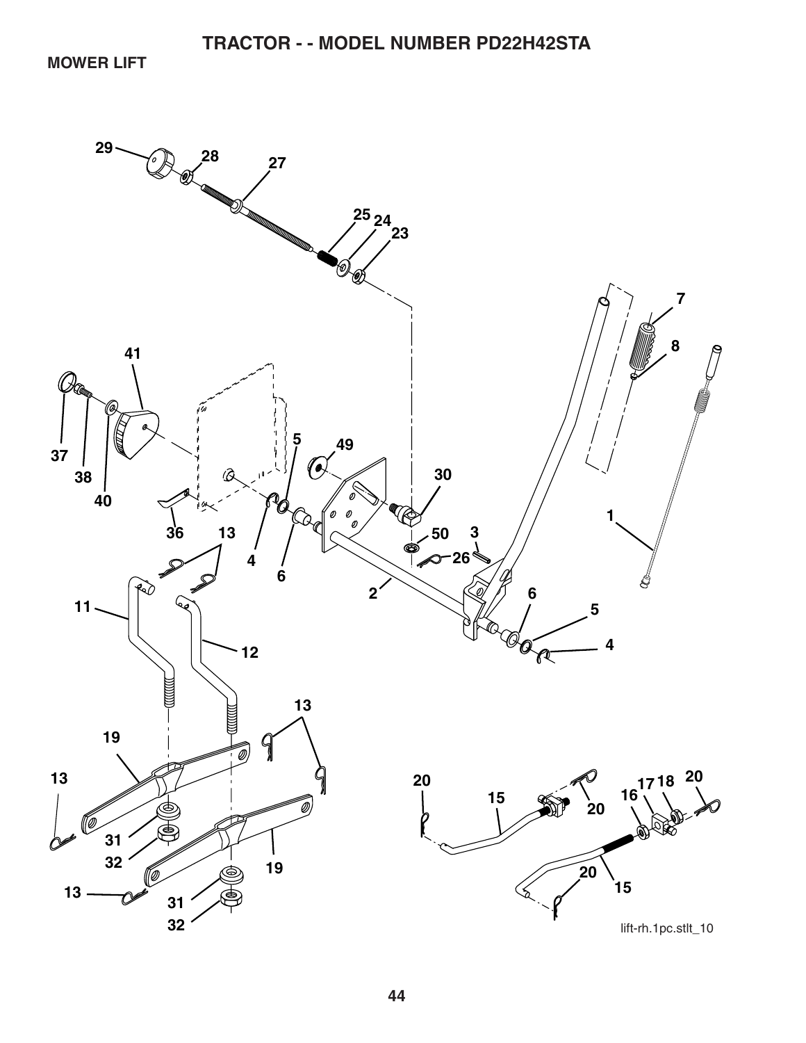